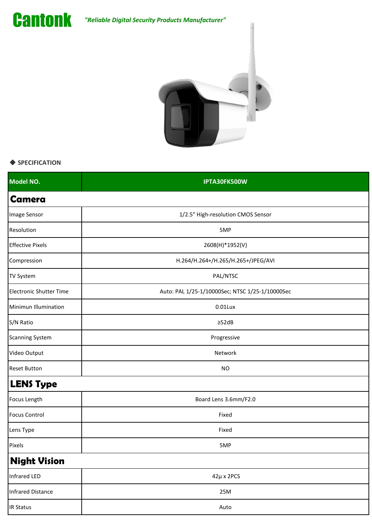*"Reliable Digital Security Products Manufacturer"*





## ◆ **SPECIFICATION**

| Model NO.                      | IPTA30FK500W                                    |
|--------------------------------|-------------------------------------------------|
| <b>Camera</b>                  |                                                 |
| Image Sensor                   | 1/2.5" High-resolution CMOS Sensor              |
| Resolution                     | 5MP                                             |
| <b>Effective Pixels</b>        | 2608(H)*1952(V)                                 |
| Compression                    | H.264/H.264+/H.265/H.265+/JPEG/AVI              |
| <b>TV System</b>               | PAL/NTSC                                        |
| <b>Electronic Shutter Time</b> | Auto: PAL 1/25-1/10000Sec; NTSC 1/25-1/10000Sec |
| Minimun Illumination           | 0.01Lux                                         |
| S/N Ratio                      | $\geq$ 52dB                                     |
| <b>Scanning System</b>         | Progressive                                     |
| Video Output                   | Network                                         |
| <b>Reset Button</b>            | <b>NO</b>                                       |
| <b>LENS Type</b>               |                                                 |
| Focus Length                   | Board Lens 3.6mm/F2.0                           |
| <b>Focus Control</b>           | Fixed                                           |
| Lens Type                      | Fixed                                           |
| Pixels                         | 5MP                                             |
| <b>Night Vision</b>            |                                                 |
| <b>Infrared LED</b>            | $42\mu$ x 2PCS                                  |
| Infrared Distance              | 25M                                             |
| <b>IR Status</b>               | Auto                                            |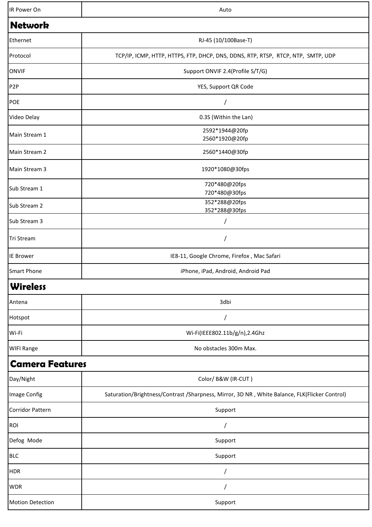| IR Power On             | Auto                                                                                          |
|-------------------------|-----------------------------------------------------------------------------------------------|
| Network                 |                                                                                               |
| Ethernet                | RJ-45 (10/100Base-T)                                                                          |
| Protocol                | TCP/IP, ICMP, HTTP, HTTPS, FTP, DHCP, DNS, DDNS, RTP, RTSP, RTCP, NTP, SMTP, UDP              |
| <b>ONVIF</b>            | Support ONVIF 2.4(Profile S/T/G)                                                              |
| P <sub>2</sub> P        | YES, Support QR Code                                                                          |
| POE                     |                                                                                               |
| Video Delay             | 0.3S (Within the Lan)                                                                         |
| Main Stream 1           | 2592*1944@20fp<br>2560*1920@20fp                                                              |
| Main Stream 2           | 2560*1440@30fp                                                                                |
| Main Stream 3           | 1920*1080@30fps                                                                               |
| Sub Stream 1            | 720*480@20fps<br>720*480@30fps                                                                |
| Sub Stream 2            | 352*288@20fps<br>352*288@30fps                                                                |
| Sub Stream 3            |                                                                                               |
| Tri Stream              |                                                                                               |
| <b>IE Brower</b>        | IE8-11, Google Chrome, Firefox, Mac Safari                                                    |
| <b>Smart Phone</b>      | iPhone, iPad, Android, Android Pad                                                            |
| <b>Wireless</b>         |                                                                                               |
| Antena                  | 3dbi                                                                                          |
| Hotspot                 |                                                                                               |
| Wi-Fi                   | Wi-Fi(IEEE802.11b/g/n),2.4Ghz                                                                 |
| <b>WIFI Range</b>       | No obstacles 300m Max.                                                                        |
| <b>Camera Features</b>  |                                                                                               |
| Day/Night               | Color/ B&W (IR-CUT)                                                                           |
| Image Config            | Saturation/Brightness/Contrast /Sharpness, Mirror, 3D NR, White Balance, FLK(Flicker Control) |
| <b>Corridor Pattern</b> | Support                                                                                       |
| ROI                     |                                                                                               |
| Defog Mode              | Support                                                                                       |
| <b>BLC</b>              | Support                                                                                       |
| <b>HDR</b>              |                                                                                               |
| <b>WDR</b>              |                                                                                               |
| <b>Motion Detection</b> | Support                                                                                       |